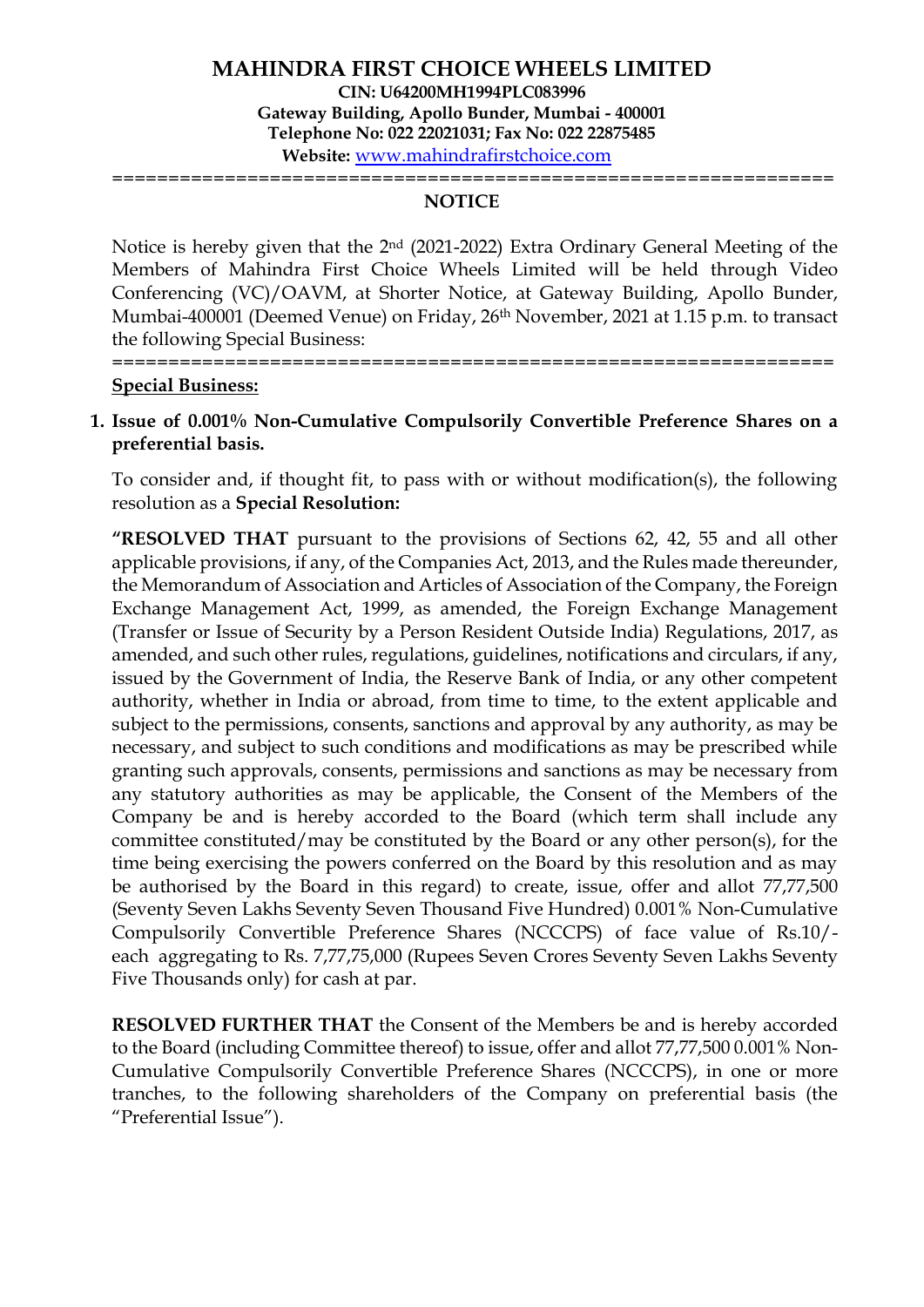### **NOTICE**

================================================================

Notice is hereby given that the 2nd (2021-2022) Extra Ordinary General Meeting of the Members of Mahindra First Choice Wheels Limited will be held through Video Conferencing (VC)/OAVM, at Shorter Notice, at Gateway Building, Apollo Bunder, Mumbai-400001 (Deemed Venue) on Friday, 26<sup>th</sup> November, 2021 at 1.15 p.m. to transact the following Special Business:

#### **Special Business:**

# **1. Issue of 0.001% Non-Cumulative Compulsorily Convertible Preference Shares on a preferential basis.**

================================================================

To consider and, if thought fit, to pass with or without modification(s), the following resolution as a **Special Resolution:**

**"RESOLVED THAT** pursuant to the provisions of Sections 62, 42, 55 and all other applicable provisions, if any, of the Companies Act, 2013, and the Rules made thereunder, the Memorandum of Association and Articles of Association of the Company, the Foreign Exchange Management Act, 1999, as amended, the Foreign Exchange Management (Transfer or Issue of Security by a Person Resident Outside India) Regulations, 2017, as amended, and such other rules, regulations, guidelines, notifications and circulars, if any, issued by the Government of India, the Reserve Bank of India, or any other competent authority, whether in India or abroad, from time to time, to the extent applicable and subject to the permissions, consents, sanctions and approval by any authority, as may be necessary, and subject to such conditions and modifications as may be prescribed while granting such approvals, consents, permissions and sanctions as may be necessary from any statutory authorities as may be applicable, the Consent of the Members of the Company be and is hereby accorded to the Board (which term shall include any committee constituted/may be constituted by the Board or any other person(s), for the time being exercising the powers conferred on the Board by this resolution and as may be authorised by the Board in this regard) to create, issue, offer and allot 77,77,500 (Seventy Seven Lakhs Seventy Seven Thousand Five Hundred) 0.001% Non-Cumulative Compulsorily Convertible Preference Shares (NCCCPS) of face value of Rs.10/ each aggregating to Rs. 7,77,75,000 (Rupees Seven Crores Seventy Seven Lakhs Seventy Five Thousands only) for cash at par.

**RESOLVED FURTHER THAT** the Consent of the Members be and is hereby accorded to the Board (including Committee thereof) to issue, offer and allot 77,77,500 0.001% Non-Cumulative Compulsorily Convertible Preference Shares (NCCCPS), in one or more tranches, to the following shareholders of the Company on preferential basis (the "Preferential Issue").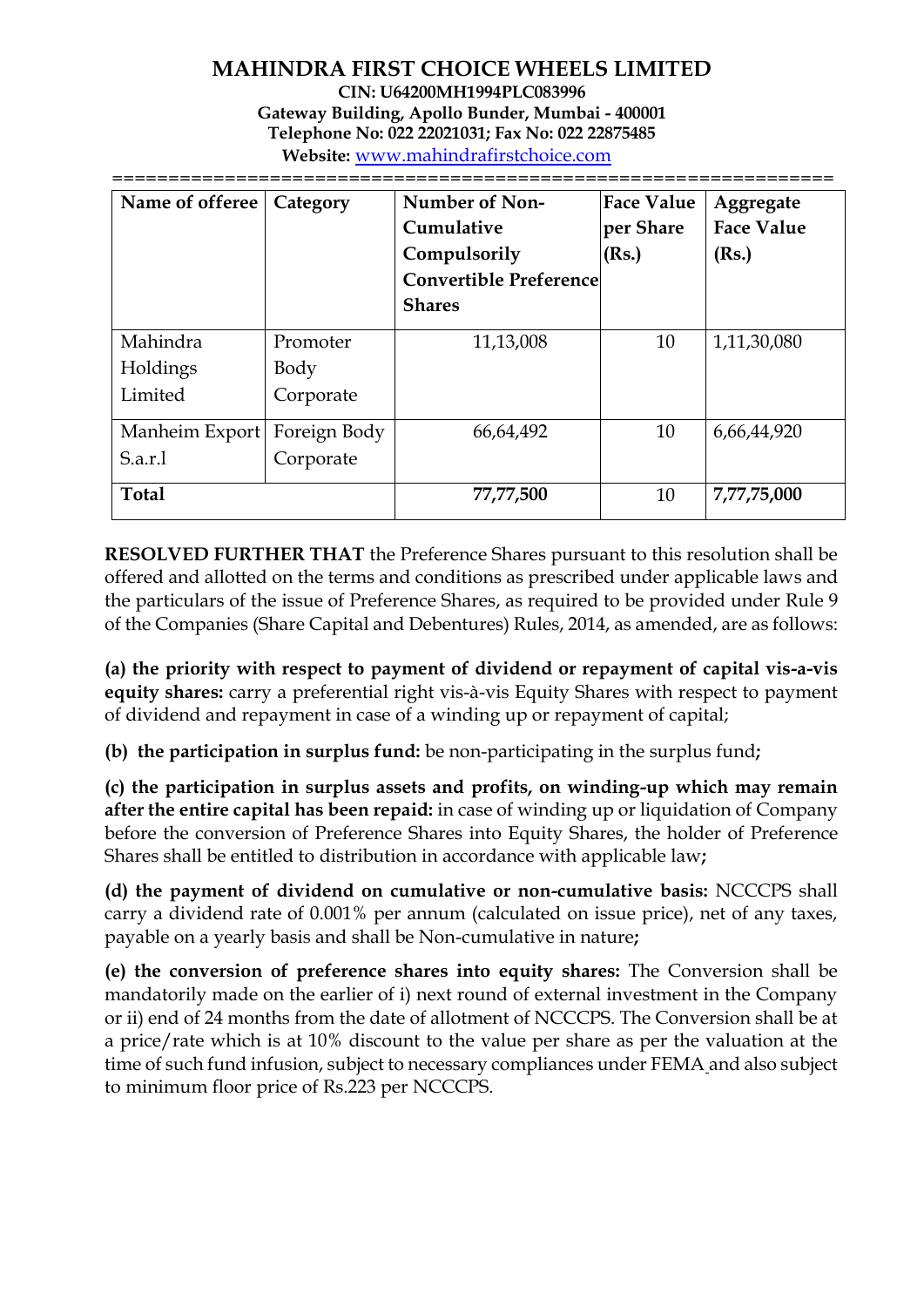### **MAHINDRA FIRST CHOICE WHEELS LIMITED CIN: U64200MH1994PLC083996 Gateway Building, Apollo Bunder, Mumbai - 400001 Telephone No: 022 22021031; Fax No: 022 22875485 Website:** [www.mahindrafirstchoice.com](http://www.mahindrafirstchoice.com/) ================================================================

| Name of offeree | Category     | Number of Non-<br>Cumulative<br>Compulsorily<br><b>Convertible Preference</b><br><b>Shares</b> | <b>Face Value</b><br>per Share<br>(Rs.) | Aggregate<br><b>Face Value</b><br>(Rs.) |
|-----------------|--------------|------------------------------------------------------------------------------------------------|-----------------------------------------|-----------------------------------------|
| Mahindra        | Promoter     | 11,13,008                                                                                      | 10                                      | 1,11,30,080                             |
| Holdings        | Body         |                                                                                                |                                         |                                         |
| Limited         | Corporate    |                                                                                                |                                         |                                         |
| Manheim Export  | Foreign Body | 66,64,492                                                                                      | 10                                      | 6,66,44,920                             |
| S.a.r.1         | Corporate    |                                                                                                |                                         |                                         |
| <b>Total</b>    |              | 77,77,500                                                                                      | 10                                      | 7,77,75,000                             |

**RESOLVED FURTHER THAT** the Preference Shares pursuant to this resolution shall be offered and allotted on the terms and conditions as prescribed under applicable laws and the particulars of the issue of Preference Shares, as required to be provided under Rule 9 of the Companies (Share Capital and Debentures) Rules, 2014, as amended, are as follows:

**(a) the priority with respect to payment of dividend or repayment of capital vis-a-vis equity shares:** carry a preferential right vis-à-vis Equity Shares with respect to payment of dividend and repayment in case of a winding up or repayment of capital;

**(b) the participation in surplus fund:** be non-participating in the surplus fund**;**

**(c) the participation in surplus assets and profits, on winding-up which may remain after the entire capital has been repaid:** in case of winding up or liquidation of Company before the conversion of Preference Shares into Equity Shares, the holder of Preference Shares shall be entitled to distribution in accordance with applicable law**;** 

**(d) the payment of dividend on cumulative or non-cumulative basis:** NCCCPS shall carry a dividend rate of 0.001% per annum (calculated on issue price), net of any taxes, payable on a yearly basis and shall be Non-cumulative in nature**;** 

**(e) the conversion of preference shares into equity shares:** The Conversion shall be mandatorily made on the earlier of i) next round of external investment in the Company or ii) end of 24 months from the date of allotment of NCCCPS. The Conversion shall be at a price/rate which is at 10% discount to the value per share as per the valuation at the time of such fund infusion, subject to necessary compliances under FEMA and also subject to minimum floor price of Rs.223 per NCCCPS.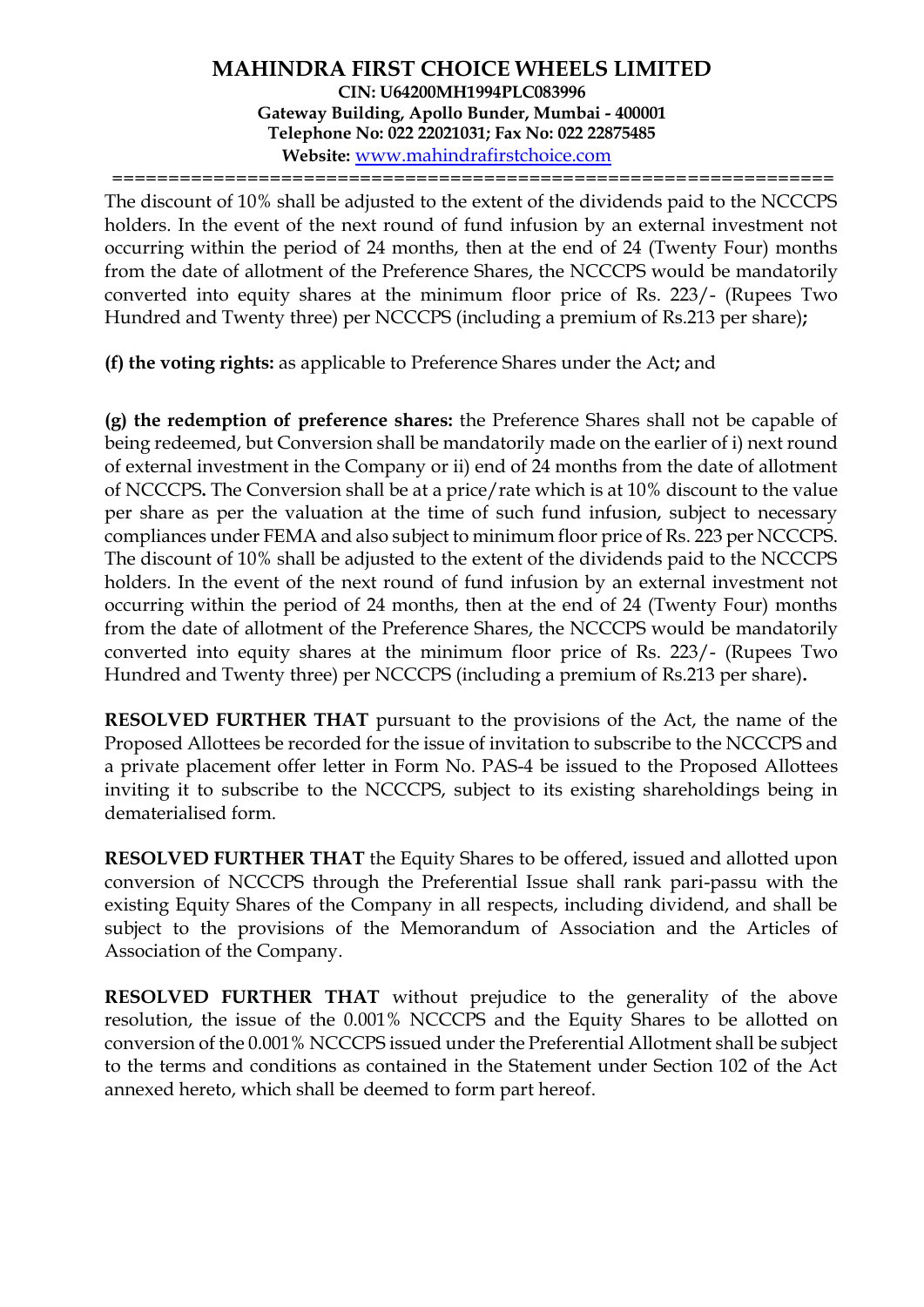================================================================

The discount of 10% shall be adjusted to the extent of the dividends paid to the NCCCPS holders. In the event of the next round of fund infusion by an external investment not occurring within the period of 24 months, then at the end of 24 (Twenty Four) months from the date of allotment of the Preference Shares, the NCCCPS would be mandatorily converted into equity shares at the minimum floor price of Rs. 223/- (Rupees Two Hundred and Twenty three) per NCCCPS (including a premium of Rs.213 per share)**;** 

**(f) the voting rights:** as applicable to Preference Shares under the Act**;** and

**(g) the redemption of preference shares:** the Preference Shares shall not be capable of being redeemed, but Conversion shall be mandatorily made on the earlier of i) next round of external investment in the Company or ii) end of 24 months from the date of allotment of NCCCPS**.** The Conversion shall be at a price/rate which is at 10% discount to the value per share as per the valuation at the time of such fund infusion, subject to necessary compliances under FEMA and also subject to minimum floor price of Rs. 223 per NCCCPS. The discount of 10% shall be adjusted to the extent of the dividends paid to the NCCCPS holders. In the event of the next round of fund infusion by an external investment not occurring within the period of 24 months, then at the end of 24 (Twenty Four) months from the date of allotment of the Preference Shares, the NCCCPS would be mandatorily converted into equity shares at the minimum floor price of Rs. 223/- (Rupees Two Hundred and Twenty three) per NCCCPS (including a premium of Rs.213 per share)**.**

**RESOLVED FURTHER THAT** pursuant to the provisions of the Act, the name of the Proposed Allottees be recorded for the issue of invitation to subscribe to the NCCCPS and a private placement offer letter in Form No. PAS-4 be issued to the Proposed Allottees inviting it to subscribe to the NCCCPS, subject to its existing shareholdings being in dematerialised form.

**RESOLVED FURTHER THAT** the Equity Shares to be offered, issued and allotted upon conversion of NCCCPS through the Preferential Issue shall rank pari-passu with the existing Equity Shares of the Company in all respects, including dividend, and shall be subject to the provisions of the Memorandum of Association and the Articles of Association of the Company.

**RESOLVED FURTHER THAT** without prejudice to the generality of the above resolution, the issue of the 0.001% NCCCPS and the Equity Shares to be allotted on conversion of the 0.001% NCCCPS issued under the Preferential Allotment shall be subject to the terms and conditions as contained in the Statement under Section 102 of the Act annexed hereto, which shall be deemed to form part hereof.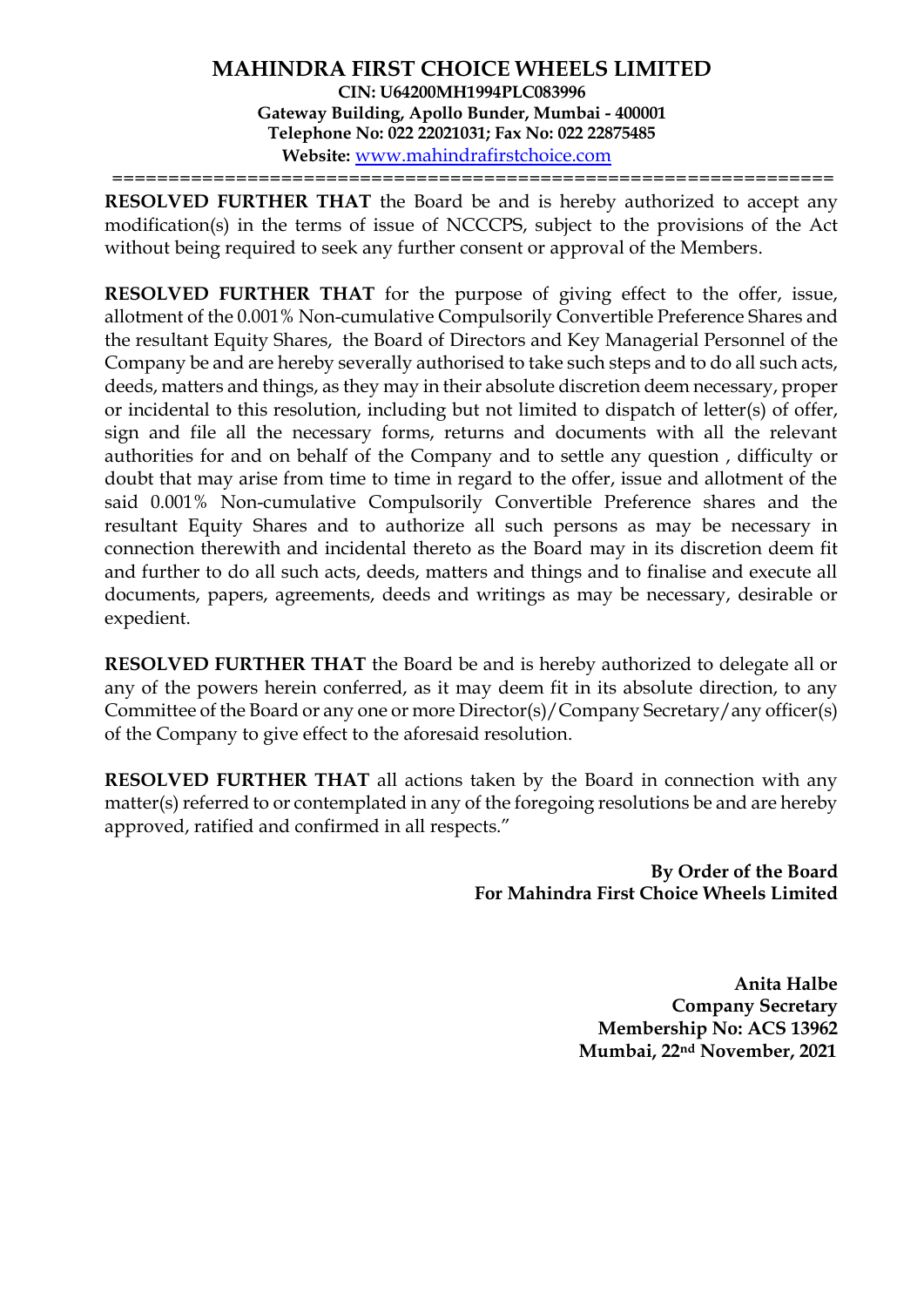================================================================

**RESOLVED FURTHER THAT** the Board be and is hereby authorized to accept any modification(s) in the terms of issue of NCCCPS, subject to the provisions of the Act without being required to seek any further consent or approval of the Members.

**RESOLVED FURTHER THAT** for the purpose of giving effect to the offer, issue, allotment of the 0.001% Non-cumulative Compulsorily Convertible Preference Shares and the resultant Equity Shares, the Board of Directors and Key Managerial Personnel of the Company be and are hereby severally authorised to take such steps and to do all such acts, deeds, matters and things, as they may in their absolute discretion deem necessary, proper or incidental to this resolution, including but not limited to dispatch of letter(s) of offer, sign and file all the necessary forms, returns and documents with all the relevant authorities for and on behalf of the Company and to settle any question , difficulty or doubt that may arise from time to time in regard to the offer, issue and allotment of the said 0.001% Non-cumulative Compulsorily Convertible Preference shares and the resultant Equity Shares and to authorize all such persons as may be necessary in connection therewith and incidental thereto as the Board may in its discretion deem fit and further to do all such acts, deeds, matters and things and to finalise and execute all documents, papers, agreements, deeds and writings as may be necessary, desirable or expedient.

**RESOLVED FURTHER THAT** the Board be and is hereby authorized to delegate all or any of the powers herein conferred, as it may deem fit in its absolute direction, to any Committee of the Board or any one or more Director(s)/Company Secretary/any officer(s) of the Company to give effect to the aforesaid resolution.

**RESOLVED FURTHER THAT** all actions taken by the Board in connection with any matter(s) referred to or contemplated in any of the foregoing resolutions be and are hereby approved, ratified and confirmed in all respects."

> **By Order of the Board For Mahindra First Choice Wheels Limited**

> > **Anita Halbe Company Secretary Membership No: ACS 13962 Mumbai, 22nd November, 2021**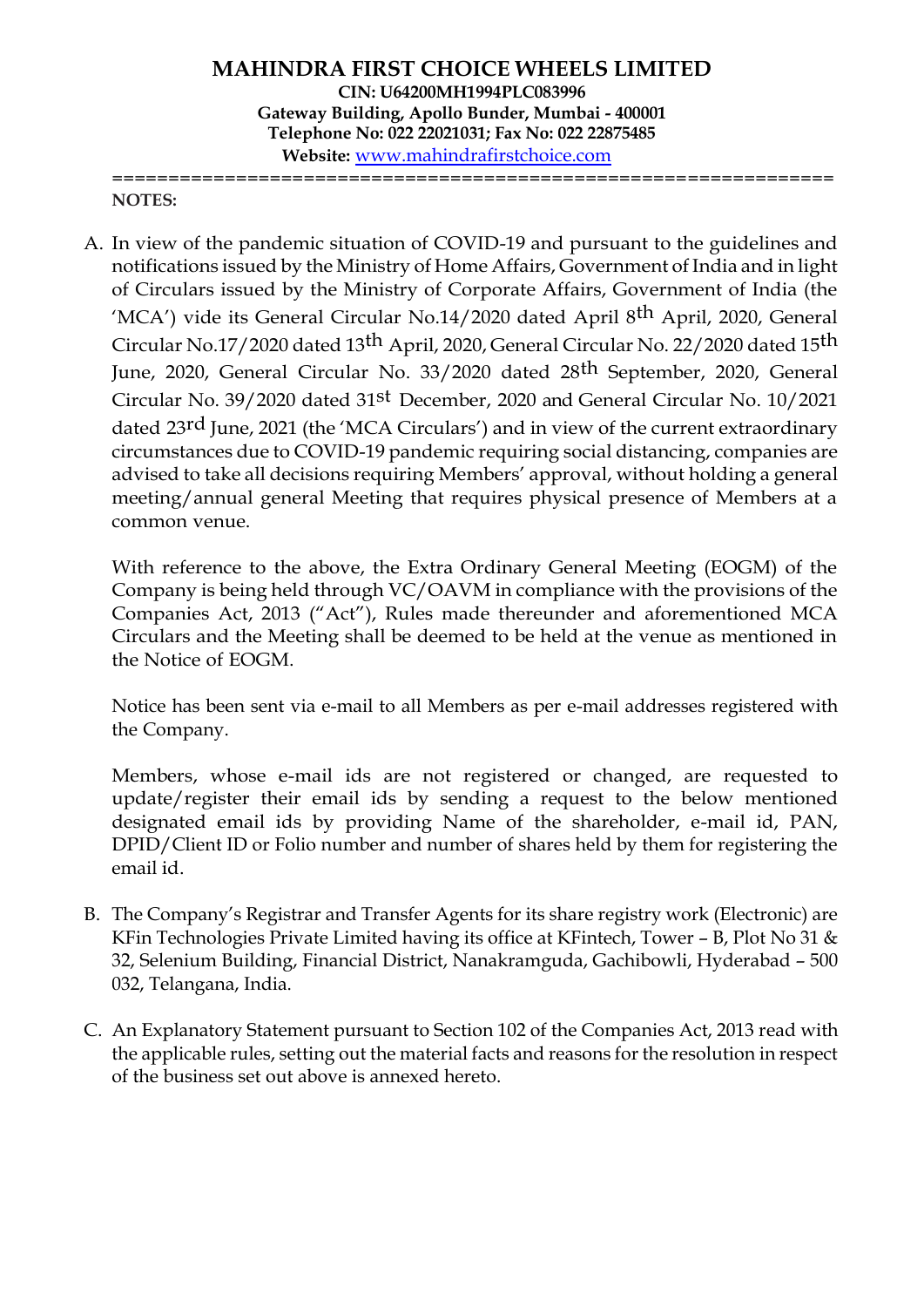**MAHINDRA FIRST CHOICE WHEELS LIMITED CIN: U64200MH1994PLC083996 Gateway Building, Apollo Bunder, Mumbai - 400001 Telephone No: 022 22021031; Fax No: 022 22875485 Website:** [www.mahindrafirstchoice.com](http://www.mahindrafirstchoice.com/) ================================================================

#### **NOTES:**

A. In view of the pandemic situation of COVID-19 and pursuant to the guidelines and notifications issued by the Ministry of Home Affairs, Government of India and in light of Circulars issued by the Ministry of Corporate Affairs, Government of India (the 'MCA') vide its General Circular No.14/2020 dated April 8<sup>th</sup> April, 2020, General Circular No.17/2020 dated 13th April, 2020, General Circular No. 22/2020 dated 15th June, 2020, General Circular No. 33/2020 dated 28th September, 2020, General Circular No. 39/2020 dated 31st December, 2020 and General Circular No. 10/2021 dated 23<sup>rd</sup> June, 2021 (the 'MCA Circulars') and in view of the current extraordinary circumstances due to COVID-19 pandemic requiring social distancing, companies are advised to take all decisions requiring Members' approval, without holding a general meeting/annual general Meeting that requires physical presence of Members at a common venue.

With reference to the above, the Extra Ordinary General Meeting (EOGM) of the Company is being held through VC/OAVM in compliance with the provisions of the Companies Act, 2013 ("Act"), Rules made thereunder and aforementioned MCA Circulars and the Meeting shall be deemed to be held at the venue as mentioned in the Notice of EOGM.

Notice has been sent via e-mail to all Members as per e-mail addresses registered with the Company.

Members, whose e-mail ids are not registered or changed, are requested to update/register their email ids by sending a request to the below mentioned designated email ids by providing Name of the shareholder, e-mail id, PAN, DPID/Client ID or Folio number and number of shares held by them for registering the email id.

- B. The Company's Registrar and Transfer Agents for its share registry work (Electronic) are KFin Technologies Private Limited having its office at KFintech, Tower – B, Plot No 31 & 32, Selenium Building, Financial District, Nanakramguda, Gachibowli, Hyderabad – 500 032, Telangana, India.
- C. An Explanatory Statement pursuant to Section 102 of the Companies Act, 2013 read with the applicable rules, setting out the material facts and reasons for the resolution in respect of the business set out above is annexed hereto.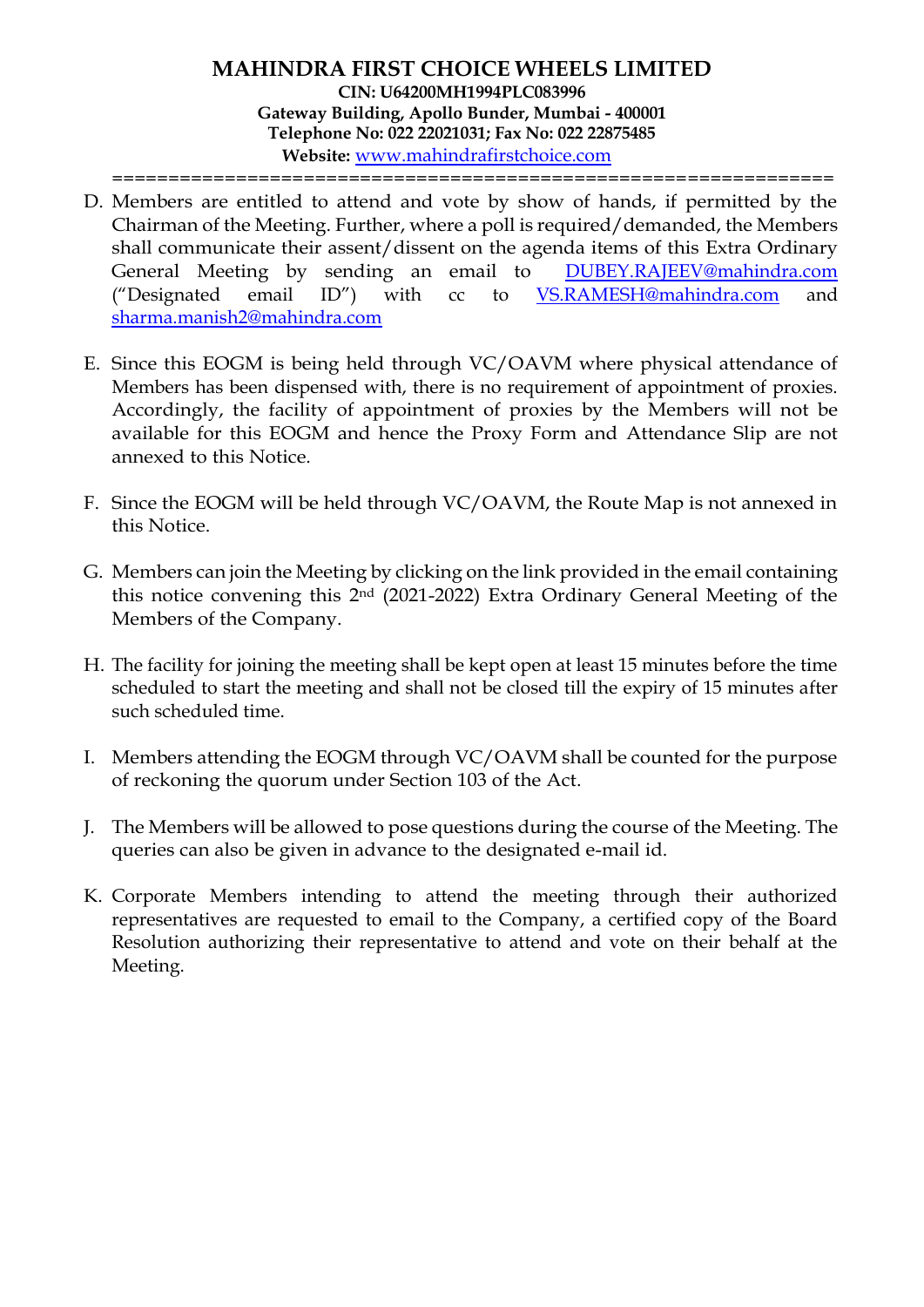================================================================

- D. Members are entitled to attend and vote by show of hands, if permitted by the Chairman of the Meeting. Further, where a poll is required/demanded, the Members shall communicate their assent/dissent on the agenda items of this Extra Ordinary General Meeting by sending an email to [DUBEY.RAJEEV@mahindra.com](mailto:DUBEY.RAJEEV@mahindra.com) ("Designated email ID") with cc to [VS.RAMESH@mahindra.com](mailto:VS.RAMESH@mahindra.com) and [sharma.manish2@mahindra.com](mailto:sharma.manish2@mahindra.com)
- E. Since this EOGM is being held through VC/OAVM where physical attendance of Members has been dispensed with, there is no requirement of appointment of proxies. Accordingly, the facility of appointment of proxies by the Members will not be available for this EOGM and hence the Proxy Form and Attendance Slip are not annexed to this Notice.
- F. Since the EOGM will be held through VC/OAVM, the Route Map is not annexed in this Notice.
- G. Members can join the Meeting by clicking on the link provided in the email containing this notice convening this 2nd (2021-2022) Extra Ordinary General Meeting of the Members of the Company.
- H. The facility for joining the meeting shall be kept open at least 15 minutes before the time scheduled to start the meeting and shall not be closed till the expiry of 15 minutes after such scheduled time.
- I. Members attending the EOGM through VC/OAVM shall be counted for the purpose of reckoning the quorum under Section 103 of the Act.
- J. The Members will be allowed to pose questions during the course of the Meeting. The queries can also be given in advance to the designated e-mail id.
- K. Corporate Members intending to attend the meeting through their authorized representatives are requested to email to the Company, a certified copy of the Board Resolution authorizing their representative to attend and vote on their behalf at the Meeting.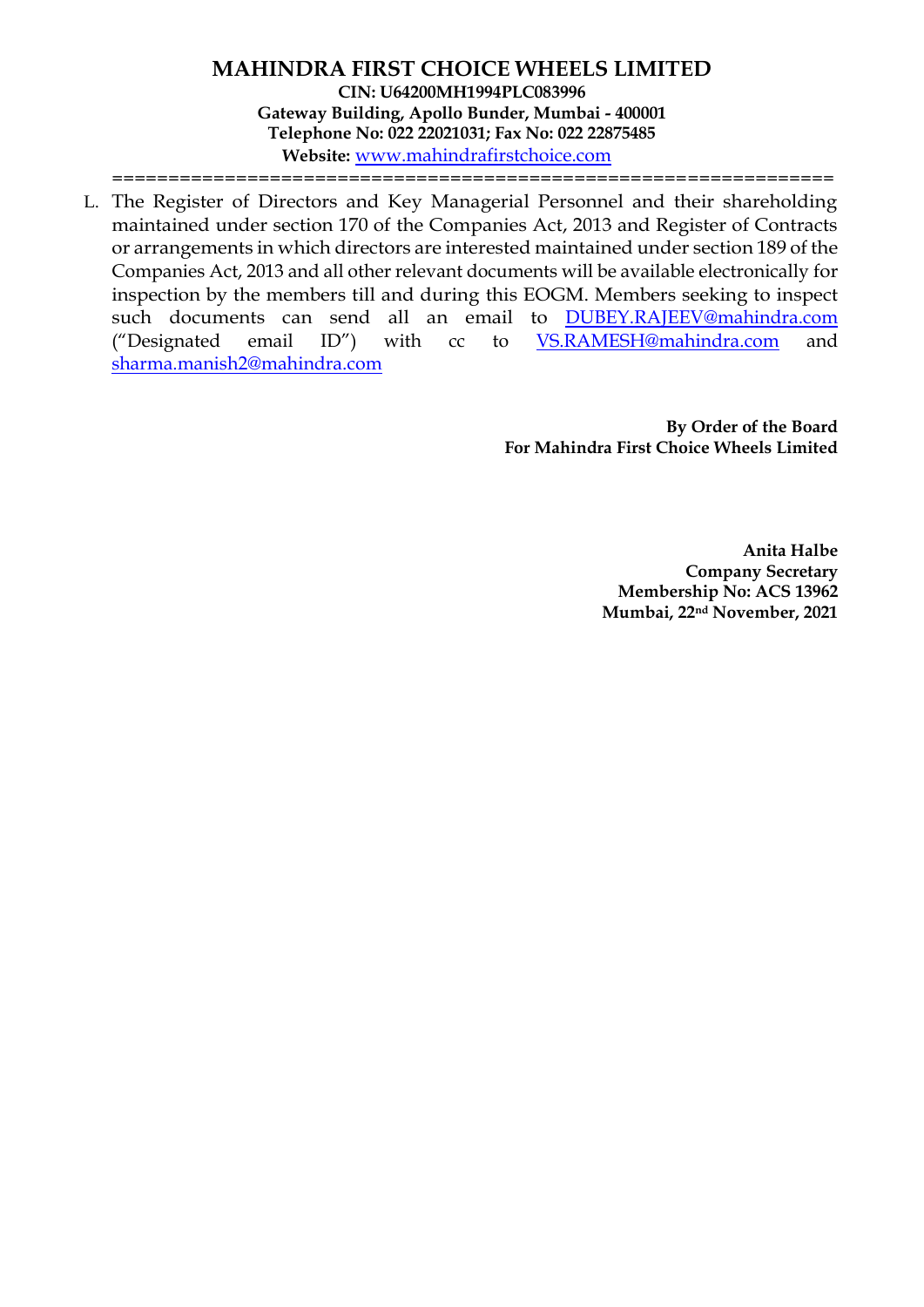**MAHINDRA FIRST CHOICE WHEELS LIMITED CIN: U64200MH1994PLC083996 Gateway Building, Apollo Bunder, Mumbai - 400001 Telephone No: 022 22021031; Fax No: 022 22875485 Website:** [www.mahindrafirstchoice.com](http://www.mahindrafirstchoice.com/) ================================================================

L. The Register of Directors and Key Managerial Personnel and their shareholding maintained under section 170 of the Companies Act, 2013 and Register of Contracts or arrangements in which directors are interested maintained under section 189 of the Companies Act, 2013 and all other relevant documents will be available electronically for inspection by the members till and during this EOGM. Members seeking to inspect such documents can send all an email to [DUBEY.RAJEEV@mahindra.com](mailto:DUBEY.RAJEEV@mahindra.com) ("Designated email ID") with cc to [VS.RAMESH@mahindra.com](mailto:VS.RAMESH@mahindra.com) and [sharma.manish2@mahindra.com](mailto:sharma.manish2@mahindra.com)

> **By Order of the Board For Mahindra First Choice Wheels Limited**

> > **Anita Halbe Company Secretary Membership No: ACS 13962 Mumbai, 22nd November, 2021**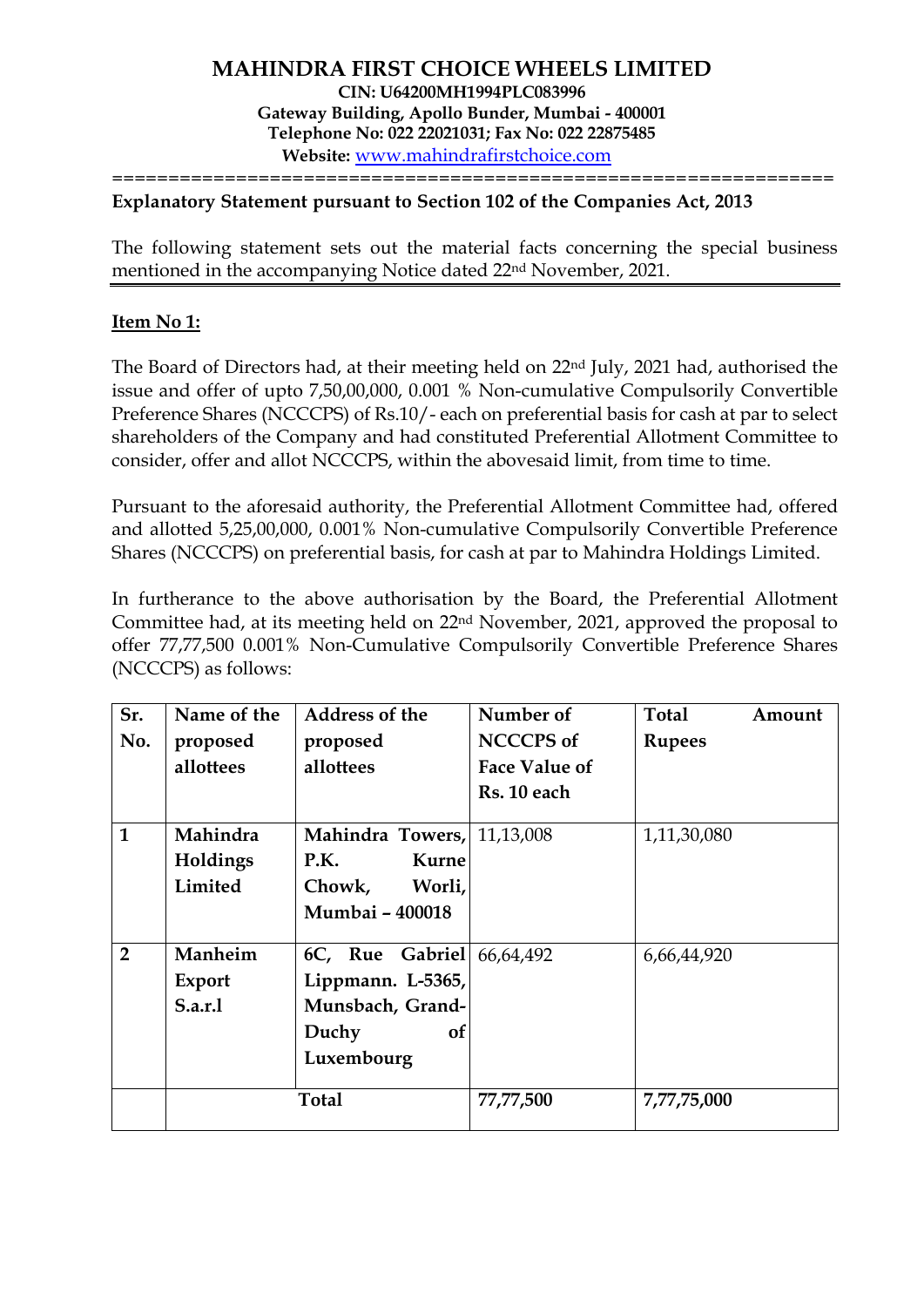### **Explanatory Statement pursuant to Section 102 of the Companies Act, 2013**

The following statement sets out the material facts concerning the special business mentioned in the accompanying Notice dated 22nd November, 2021.

================================================================

### **Item No 1:**

The Board of Directors had, at their meeting held on 22nd July, 2021 had, authorised the issue and offer of upto 7,50,00,000, 0.001 % Non-cumulative Compulsorily Convertible Preference Shares (NCCCPS) of Rs.10/- each on preferential basis for cash at par to select shareholders of the Company and had constituted Preferential Allotment Committee to consider, offer and allot NCCCPS, within the abovesaid limit, from time to time.

Pursuant to the aforesaid authority, the Preferential Allotment Committee had, offered and allotted 5,25,00,000, 0.001% Non-cumulative Compulsorily Convertible Preference Shares (NCCCPS) on preferential basis, for cash at par to Mahindra Holdings Limited.

In furtherance to the above authorisation by the Board, the Preferential Allotment Committee had, at its meeting held on 22nd November, 2021, approved the proposal to offer 77,77,500 0.001% Non-Cumulative Compulsorily Convertible Preference Shares (NCCCPS) as follows:

| Sr.<br>No.     | Name of the<br>proposed<br>allottees | <b>Address of the</b><br>proposed<br>allottees                                        | Number of<br><b>NCCCPS of</b><br><b>Face Value of</b><br>Rs. 10 each | Total<br><b>Rupees</b> | Amount |
|----------------|--------------------------------------|---------------------------------------------------------------------------------------|----------------------------------------------------------------------|------------------------|--------|
| $\mathbf{1}$   | Mahindra<br>Holdings<br>Limited      | Mahindra Towers,<br>P.K.<br>Kurne<br>Chowk,<br>Worli,<br>Mumbai - 400018              | 11,13,008                                                            | 1,11,30,080            |        |
| $\overline{2}$ | Manheim<br>Export<br>S.a.r.1         | 6C, Rue Gabriel<br>Lippmann. L-5365,<br>Munsbach, Grand-<br>Duchy<br>0f<br>Luxembourg | 66,64,492                                                            | 6,66,44,920            |        |
|                |                                      | <b>Total</b>                                                                          | 77,77,500                                                            | 7,77,75,000            |        |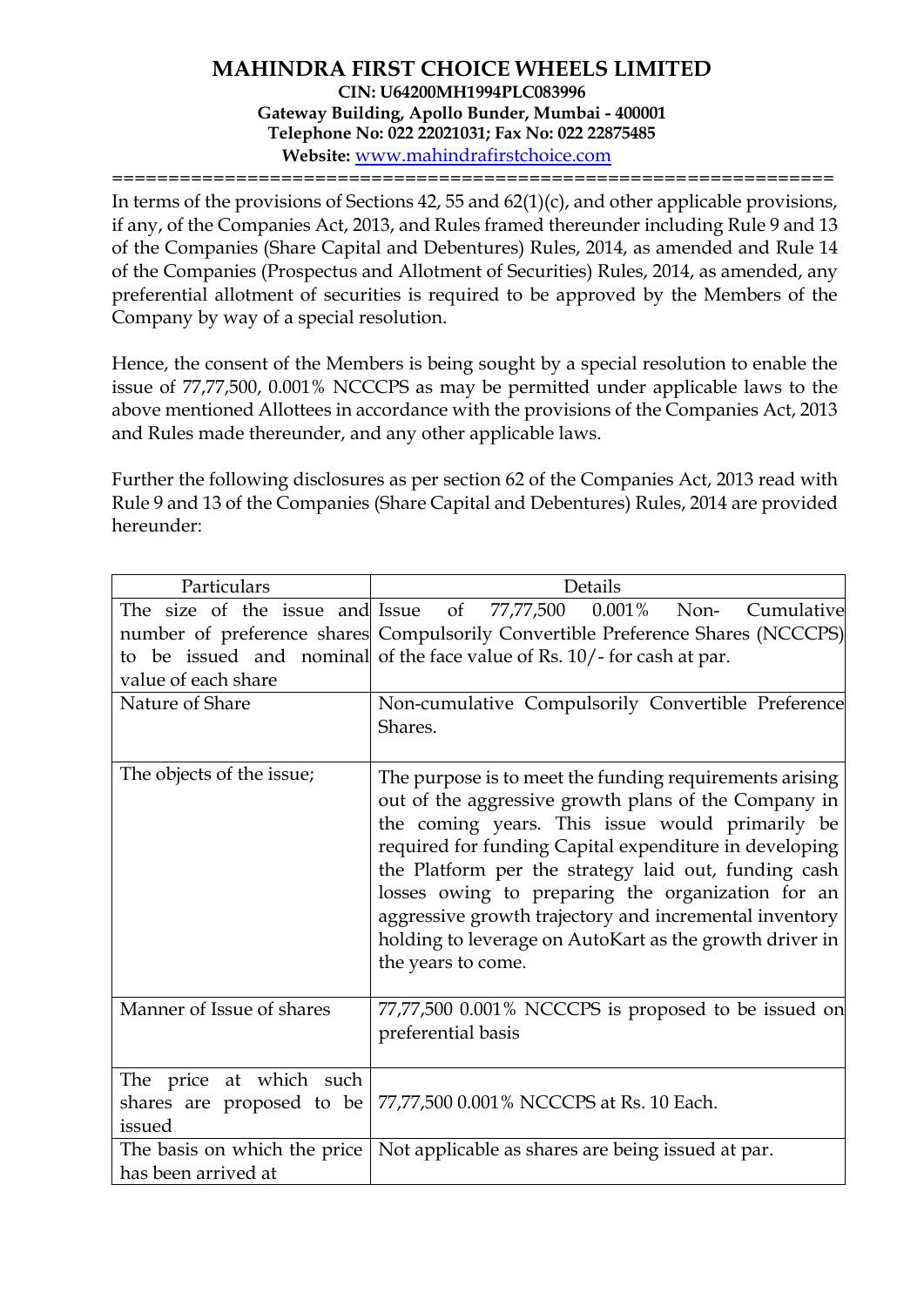================================================================

In terms of the provisions of Sections 42, 55 and 62(1)(c), and other applicable provisions, if any, of the Companies Act, 2013, and Rules framed thereunder including Rule 9 and 13 of the Companies (Share Capital and Debentures) Rules, 2014, as amended and Rule 14 of the Companies (Prospectus and Allotment of Securities) Rules, 2014, as amended, any preferential allotment of securities is required to be approved by the Members of the Company by way of a special resolution.

Hence, the consent of the Members is being sought by a special resolution to enable the issue of 77,77,500, 0.001% NCCCPS as may be permitted under applicable laws to the above mentioned Allottees in accordance with the provisions of the Companies Act, 2013 and Rules made thereunder, and any other applicable laws.

Further the following disclosures as per section 62 of the Companies Act, 2013 read with Rule 9 and 13 of the Companies (Share Capital and Debentures) Rules, 2014 are provided hereunder:

| Particulars                                                    | Details                                                                                                                                                                                                                                                                                                                                                                                                                                                                              |  |  |  |
|----------------------------------------------------------------|--------------------------------------------------------------------------------------------------------------------------------------------------------------------------------------------------------------------------------------------------------------------------------------------------------------------------------------------------------------------------------------------------------------------------------------------------------------------------------------|--|--|--|
| The size of the issue and Issue<br>value of each share         | of 77,77,500 0.001% Non-<br>Cumulative<br>number of preference shares Compulsorily Convertible Preference Shares (NCCCPS)<br>to be issued and nominal of the face value of Rs. 10/-for cash at par.                                                                                                                                                                                                                                                                                  |  |  |  |
| Nature of Share                                                | Non-cumulative Compulsorily Convertible Preference<br>Shares.                                                                                                                                                                                                                                                                                                                                                                                                                        |  |  |  |
| The objects of the issue;                                      | The purpose is to meet the funding requirements arising<br>out of the aggressive growth plans of the Company in<br>the coming years. This issue would primarily be<br>required for funding Capital expenditure in developing<br>the Platform per the strategy laid out, funding cash<br>losses owing to preparing the organization for an<br>aggressive growth trajectory and incremental inventory<br>holding to leverage on AutoKart as the growth driver in<br>the years to come. |  |  |  |
| Manner of Issue of shares                                      | 77,77,500 0.001% NCCCPS is proposed to be issued on<br>preferential basis                                                                                                                                                                                                                                                                                                                                                                                                            |  |  |  |
| The price at which such<br>shares are proposed to be<br>issued | 77,77,500 0.001% NCCCPS at Rs. 10 Each.                                                                                                                                                                                                                                                                                                                                                                                                                                              |  |  |  |
| The basis on which the price<br>has been arrived at            | Not applicable as shares are being issued at par.                                                                                                                                                                                                                                                                                                                                                                                                                                    |  |  |  |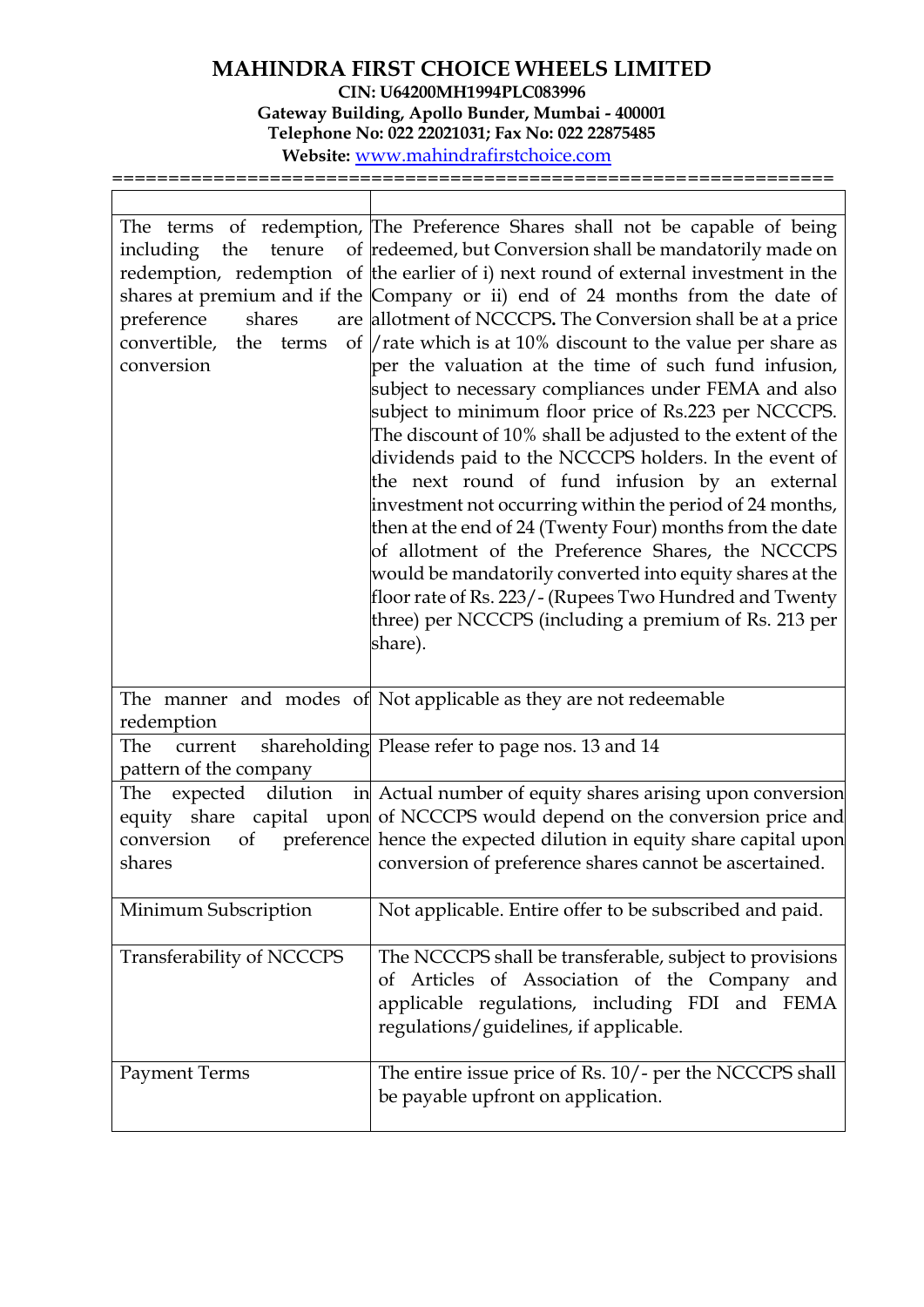| tenure<br>including the<br>preference<br>shares<br>convertible, the<br>terms<br>conversion | The terms of redemption, The Preference Shares shall not be capable of being<br>of redeemed, but Conversion shall be mandatorily made on<br>redemption, redemption of the earlier of i) next round of external investment in the<br>shares at premium and if the Company or ii) end of 24 months from the date of<br>are allotment of NCCCPS. The Conversion shall be at a price<br>of $\frac{1}{1}$ rate which is at 10% discount to the value per share as<br>per the valuation at the time of such fund infusion,<br>subject to necessary compliances under FEMA and also<br>subject to minimum floor price of Rs.223 per NCCCPS.<br>The discount of 10% shall be adjusted to the extent of the<br>dividends paid to the NCCCPS holders. In the event of<br>the next round of fund infusion by an external<br>investment not occurring within the period of 24 months,<br>then at the end of 24 (Twenty Four) months from the date<br>of allotment of the Preference Shares, the NCCCPS<br>would be mandatorily converted into equity shares at the<br>floor rate of Rs. 223/- (Rupees Two Hundred and Twenty<br>three) per NCCCPS (including a premium of Rs. 213 per<br>share). |
|--------------------------------------------------------------------------------------------|--------------------------------------------------------------------------------------------------------------------------------------------------------------------------------------------------------------------------------------------------------------------------------------------------------------------------------------------------------------------------------------------------------------------------------------------------------------------------------------------------------------------------------------------------------------------------------------------------------------------------------------------------------------------------------------------------------------------------------------------------------------------------------------------------------------------------------------------------------------------------------------------------------------------------------------------------------------------------------------------------------------------------------------------------------------------------------------------------------------------------------------------------------------------------------------|
| redemption                                                                                 | The manner and modes of Not applicable as they are not redeemable                                                                                                                                                                                                                                                                                                                                                                                                                                                                                                                                                                                                                                                                                                                                                                                                                                                                                                                                                                                                                                                                                                                    |
| The<br>current<br>pattern of the company                                                   | shareholding Please refer to page nos. 13 and 14                                                                                                                                                                                                                                                                                                                                                                                                                                                                                                                                                                                                                                                                                                                                                                                                                                                                                                                                                                                                                                                                                                                                     |
| conversion<br>of<br>shares                                                                 | The expected dilution in Actual number of equity shares arising upon conversion<br>equity share capital upon of NCCCPS would depend on the conversion price and<br>preference hence the expected dilution in equity share capital upon<br>conversion of preference shares cannot be ascertained.                                                                                                                                                                                                                                                                                                                                                                                                                                                                                                                                                                                                                                                                                                                                                                                                                                                                                     |
| Minimum Subscription                                                                       | Not applicable. Entire offer to be subscribed and paid.                                                                                                                                                                                                                                                                                                                                                                                                                                                                                                                                                                                                                                                                                                                                                                                                                                                                                                                                                                                                                                                                                                                              |
| Transferability of NCCCPS                                                                  | The NCCCPS shall be transferable, subject to provisions<br>of Articles of Association of the Company and<br>applicable regulations, including FDI and FEMA<br>regulations/guidelines, if applicable.                                                                                                                                                                                                                                                                                                                                                                                                                                                                                                                                                                                                                                                                                                                                                                                                                                                                                                                                                                                 |
| <b>Payment Terms</b>                                                                       | The entire issue price of Rs. 10/- per the NCCCPS shall<br>be payable upfront on application.                                                                                                                                                                                                                                                                                                                                                                                                                                                                                                                                                                                                                                                                                                                                                                                                                                                                                                                                                                                                                                                                                        |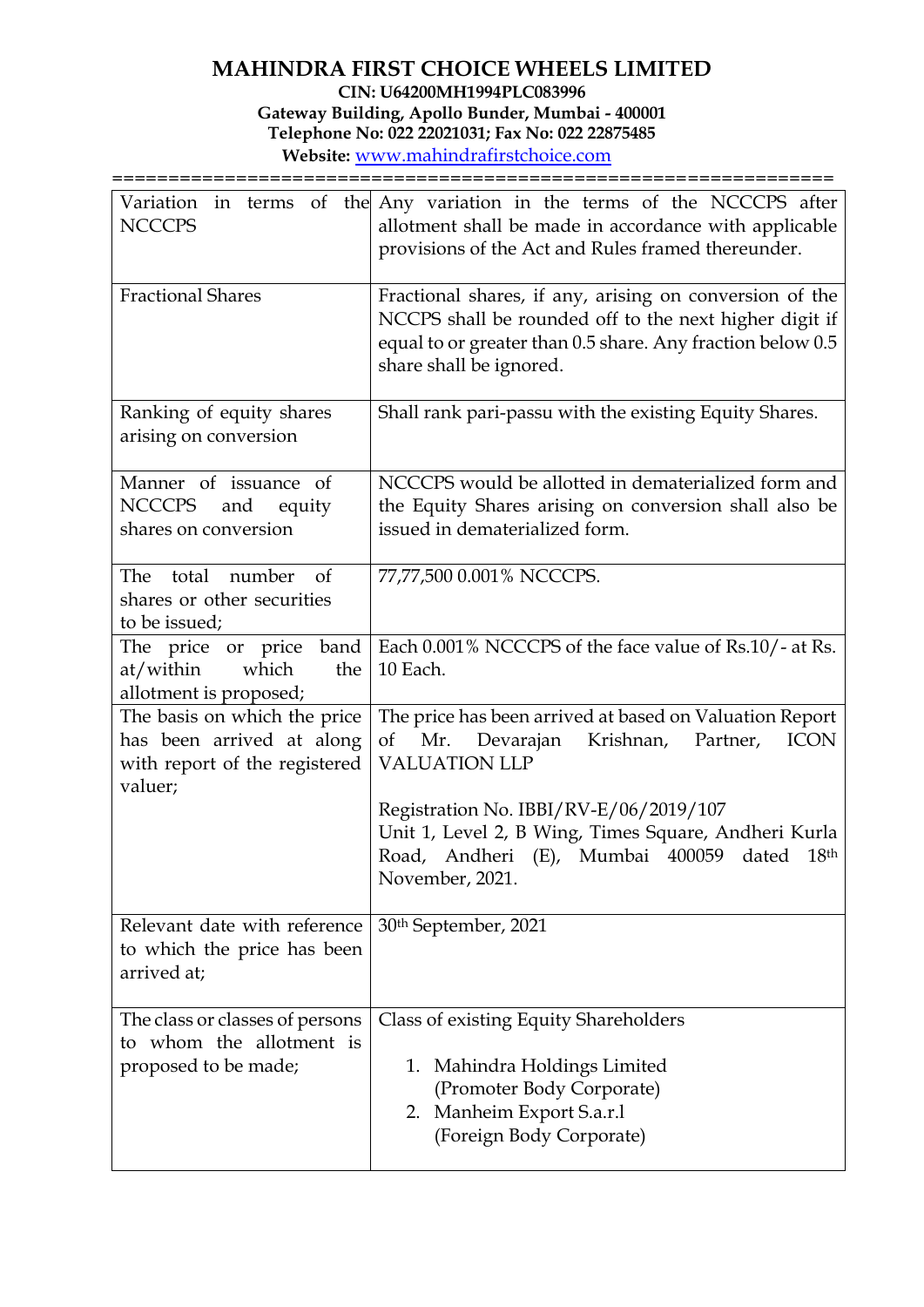| <b>NCCCPS</b>                                                                                         | Variation in terms of the Any variation in the terms of the NCCCPS after<br>allotment shall be made in accordance with applicable<br>provisions of the Act and Rules framed thereunder.                    |  |  |
|-------------------------------------------------------------------------------------------------------|------------------------------------------------------------------------------------------------------------------------------------------------------------------------------------------------------------|--|--|
| <b>Fractional Shares</b>                                                                              | Fractional shares, if any, arising on conversion of the<br>NCCPS shall be rounded off to the next higher digit if<br>equal to or greater than 0.5 share. Any fraction below 0.5<br>share shall be ignored. |  |  |
| Ranking of equity shares<br>arising on conversion                                                     | Shall rank pari-passu with the existing Equity Shares.                                                                                                                                                     |  |  |
| Manner of issuance of<br><b>NCCCPS</b><br>and<br>equity<br>shares on conversion                       | NCCCPS would be allotted in dematerialized form and<br>the Equity Shares arising on conversion shall also be<br>issued in dematerialized form.                                                             |  |  |
| total number<br>The<br><sub>of</sub><br>shares or other securities<br>to be issued;                   | 77,77,500 0.001% NCCCPS.                                                                                                                                                                                   |  |  |
| The price or price band<br>which<br>at/within<br>the<br>allotment is proposed;                        | Each 0.001% NCCCPS of the face value of Rs.10/- at Rs.<br>10 Each.                                                                                                                                         |  |  |
| The basis on which the price<br>has been arrived at along<br>with report of the registered<br>valuer; | The price has been arrived at based on Valuation Report<br>Mr. Devarajan<br>Krishnan,<br>Partner,<br><b>ICON</b><br>of<br><b>VALUATION LLP</b>                                                             |  |  |
|                                                                                                       | Registration No. IBBI/RV-E/06/2019/107<br>Unit 1, Level 2, B Wing, Times Square, Andheri Kurla<br>Road, Andheri (E), Mumbai 400059<br>18 <sup>th</sup><br>dated<br>November, 2021.                         |  |  |
| Relevant date with reference<br>to which the price has been<br>arrived at;                            | 30 <sup>th</sup> September, 2021                                                                                                                                                                           |  |  |
| The class or classes of persons<br>to whom the allotment is<br>proposed to be made;                   | Class of existing Equity Shareholders<br>Mahindra Holdings Limited<br>1.<br>(Promoter Body Corporate)<br>2. Manheim Export S.a.r.1<br>(Foreign Body Corporate)                                             |  |  |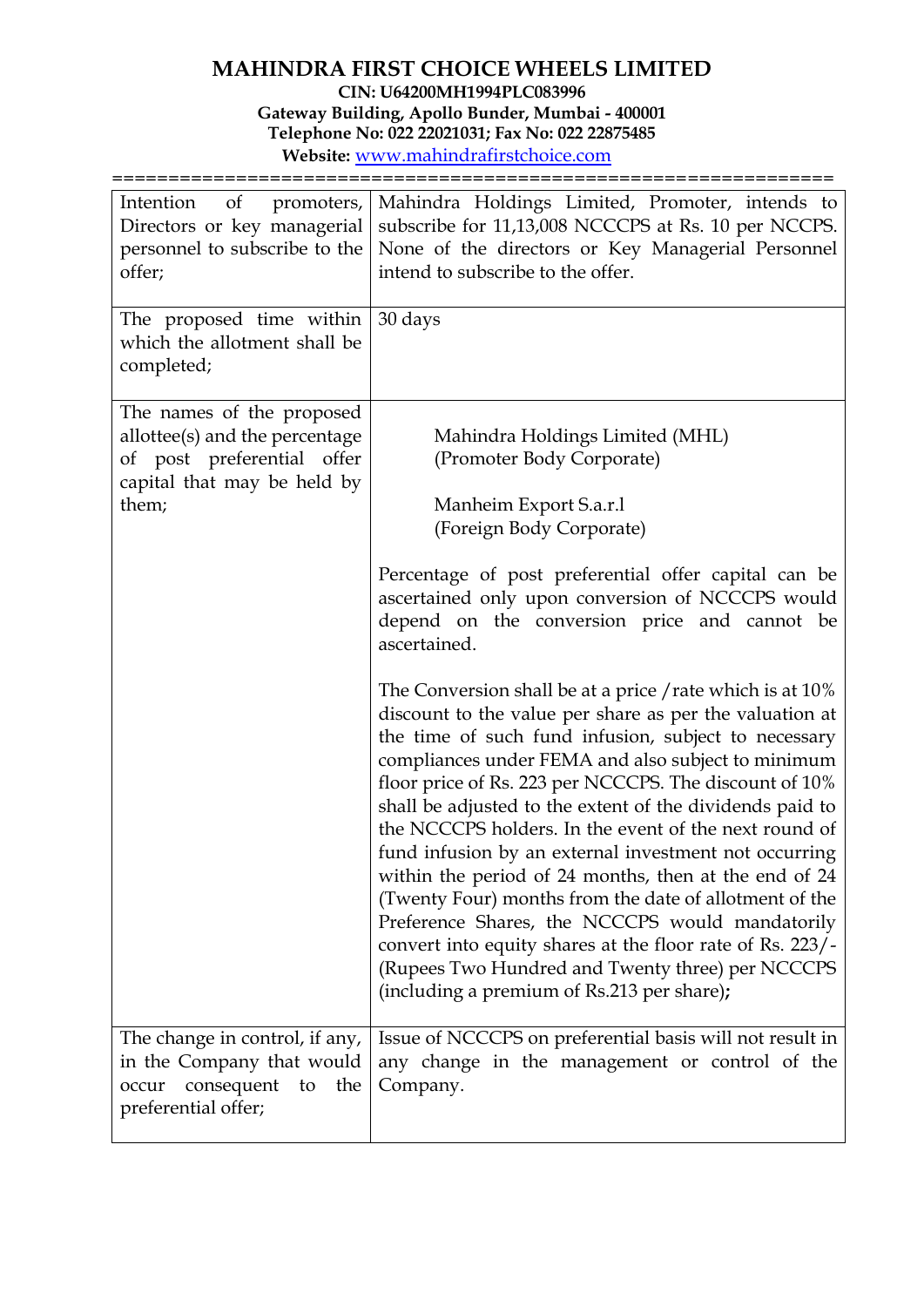| Intention<br>of<br>promoters,<br>Directors or key managerial<br>personnel to subscribe to the<br>offer;                           | Mahindra Holdings Limited, Promoter, intends to<br>subscribe for 11,13,008 NCCCPS at Rs. 10 per NCCPS.<br>None of the directors or Key Managerial Personnel<br>intend to subscribe to the offer.                                                                                                                                                                                                                                                                                                                                                                                                                                                                                                                                                                                                                |  |  |
|-----------------------------------------------------------------------------------------------------------------------------------|-----------------------------------------------------------------------------------------------------------------------------------------------------------------------------------------------------------------------------------------------------------------------------------------------------------------------------------------------------------------------------------------------------------------------------------------------------------------------------------------------------------------------------------------------------------------------------------------------------------------------------------------------------------------------------------------------------------------------------------------------------------------------------------------------------------------|--|--|
| The proposed time within<br>which the allotment shall be<br>completed;                                                            | 30 days                                                                                                                                                                                                                                                                                                                                                                                                                                                                                                                                                                                                                                                                                                                                                                                                         |  |  |
| The names of the proposed<br>allottee(s) and the percentage<br>of post preferential offer<br>capital that may be held by<br>them; | Mahindra Holdings Limited (MHL)<br>(Promoter Body Corporate)<br>Manheim Export S.a.r.1<br>(Foreign Body Corporate)                                                                                                                                                                                                                                                                                                                                                                                                                                                                                                                                                                                                                                                                                              |  |  |
|                                                                                                                                   | Percentage of post preferential offer capital can be<br>ascertained only upon conversion of NCCCPS would<br>depend on the conversion price and cannot be<br>ascertained.                                                                                                                                                                                                                                                                                                                                                                                                                                                                                                                                                                                                                                        |  |  |
|                                                                                                                                   | The Conversion shall be at a price / rate which is at 10%<br>discount to the value per share as per the valuation at<br>the time of such fund infusion, subject to necessary<br>compliances under FEMA and also subject to minimum<br>floor price of Rs. 223 per NCCCPS. The discount of 10%<br>shall be adjusted to the extent of the dividends paid to<br>the NCCCPS holders. In the event of the next round of<br>fund infusion by an external investment not occurring<br>within the period of 24 months, then at the end of 24<br>(Twenty Four) months from the date of allotment of the<br>Preference Shares, the NCCCPS would mandatorily<br>convert into equity shares at the floor rate of Rs. 223/-<br>(Rupees Two Hundred and Twenty three) per NCCCPS<br>(including a premium of Rs.213 per share); |  |  |
| The change in control, if any,<br>in the Company that would<br>consequent to the<br>occur<br>preferential offer;                  | Issue of NCCCPS on preferential basis will not result in<br>any change in the management or control of the<br>Company.                                                                                                                                                                                                                                                                                                                                                                                                                                                                                                                                                                                                                                                                                          |  |  |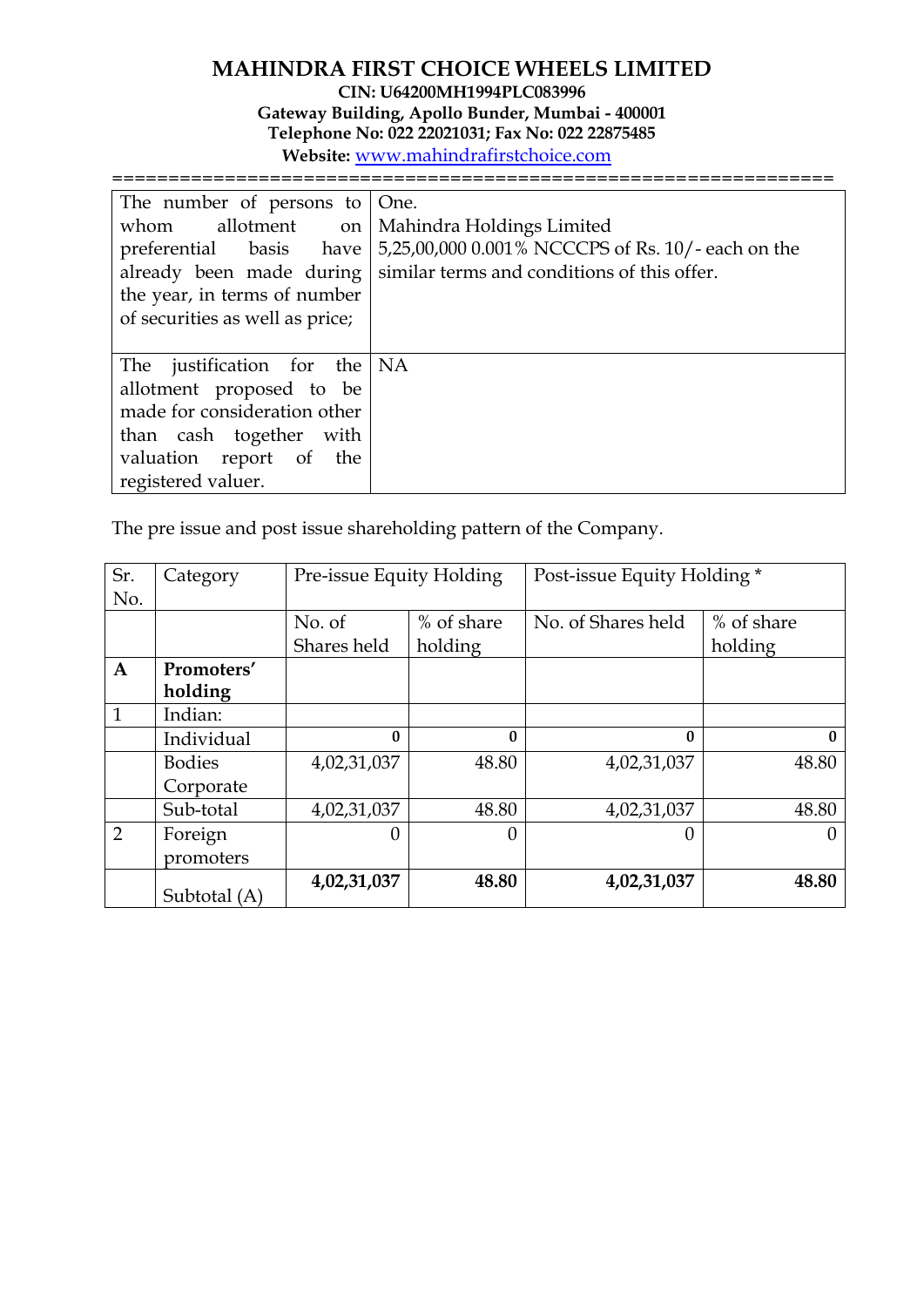| The number of persons to $ $ One.<br>whom allotment on   Mahindra Holdings Limited<br>the year, in terms of number<br>of securities as well as price;                  | preferential basis have   5,25,00,000 0.001% NCCCPS of Rs. 10/- each on the<br>already been made during   similar terms and conditions of this offer. |
|------------------------------------------------------------------------------------------------------------------------------------------------------------------------|-------------------------------------------------------------------------------------------------------------------------------------------------------|
| The justification for the $NA$<br>allotment proposed to be<br>made for consideration other<br>than cash together with<br>valuation report of the<br>registered valuer. |                                                                                                                                                       |

The pre issue and post issue shareholding pattern of the Company.

| Sr.<br>No.     | Category      | Pre-issue Equity Holding |            | Post-issue Equity Holding * |              |
|----------------|---------------|--------------------------|------------|-----------------------------|--------------|
|                |               | No. of                   | % of share | No. of Shares held          | % of share   |
|                |               | Shares held              | holding    |                             | holding      |
| $\mathbf{A}$   | Promoters'    |                          |            |                             |              |
|                | holding       |                          |            |                             |              |
| $\mathbf{1}$   | Indian:       |                          |            |                             |              |
|                | Individual    | $\mathbf{0}$             | $\bf{0}$   | $\mathbf{0}$                | $\mathbf{0}$ |
|                | <b>Bodies</b> | 4,02,31,037              | 48.80      | 4,02,31,037                 | 48.80        |
|                | Corporate     |                          |            |                             |              |
|                | Sub-total     | 4,02,31,037              | 48.80      | 4,02,31,037                 | 48.80        |
| $\overline{2}$ | Foreign       | $\left($                 | 0          |                             | $\theta$     |
|                | promoters     |                          |            |                             |              |
|                | Subtotal (A)  | 4,02,31,037              | 48.80      | 4,02,31,037                 | 48.80        |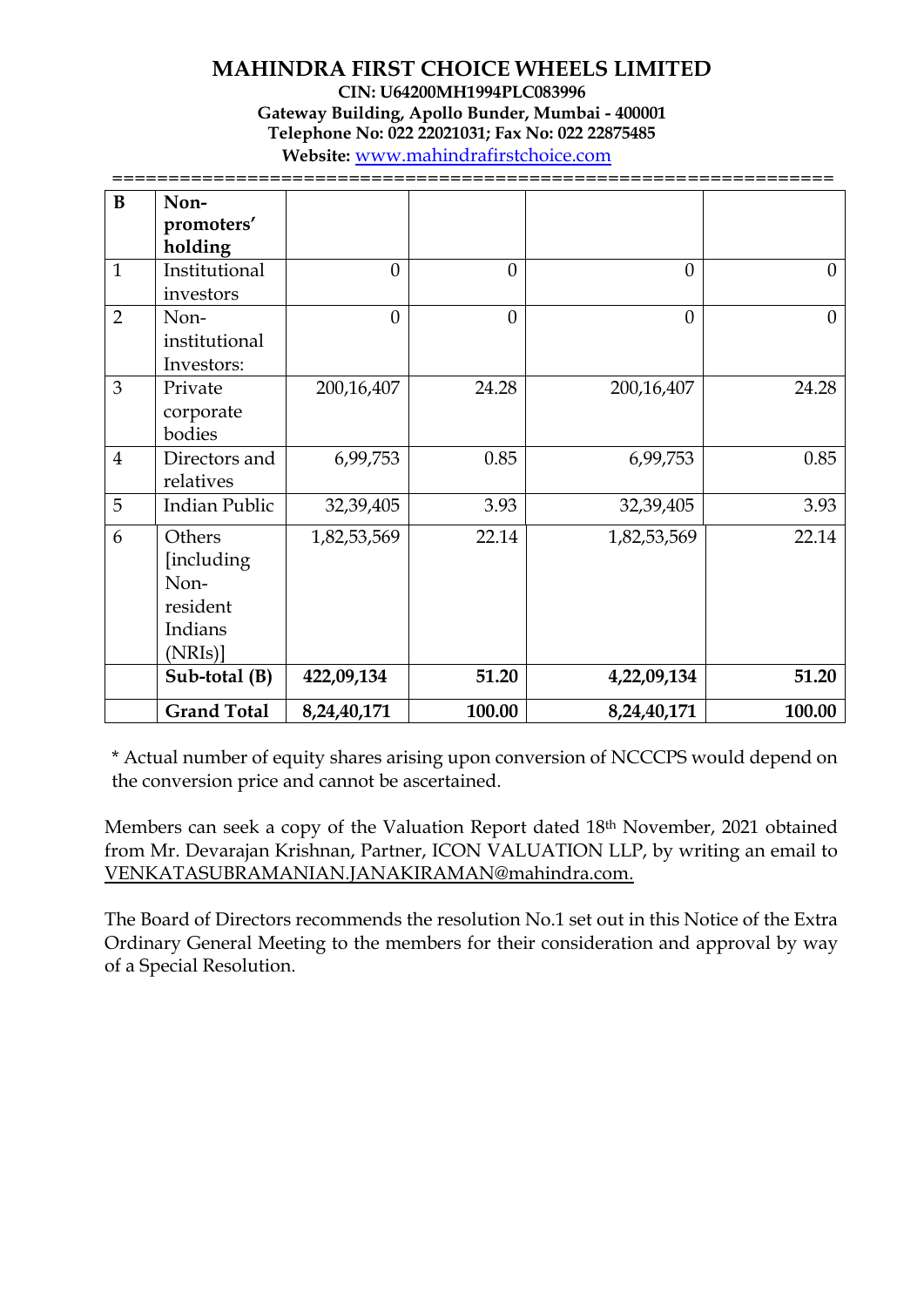| B              | Non-<br>promoters'<br>holding                                 |             |          |             |          |
|----------------|---------------------------------------------------------------|-------------|----------|-------------|----------|
| $\mathbf{1}$   | Institutional<br>investors                                    | $\Omega$    | $\theta$ | $\theta$    | $\theta$ |
| $\overline{2}$ | Non-<br>institutional<br>Investors:                           | $\theta$    | $\Omega$ | $\theta$    | $\theta$ |
| $\overline{3}$ | Private<br>corporate<br>bodies                                | 200,16,407  | 24.28    | 200,16,407  | 24.28    |
| $\overline{4}$ | Directors and<br>relatives                                    | 6,99,753    | 0.85     | 6,99,753    | 0.85     |
| 5              | <b>Indian Public</b>                                          | 32,39,405   | 3.93     | 32,39,405   | 3.93     |
| 6              | Others<br>[including<br>Non-<br>resident<br>Indians<br>(NRIs) | 1,82,53,569 | 22.14    | 1,82,53,569 | 22.14    |
|                | Sub-total (B)                                                 | 422,09,134  | 51.20    | 4,22,09,134 | 51.20    |
|                | <b>Grand Total</b>                                            | 8,24,40,171 | 100.00   | 8,24,40,171 | 100.00   |

\* Actual number of equity shares arising upon conversion of NCCCPS would depend on the conversion price and cannot be ascertained.

Members can seek a copy of the Valuation Report dated 18<sup>th</sup> November, 2021 obtained from Mr. Devarajan Krishnan, Partner, ICON VALUATION LLP, by writing an email to [VENKATASUBRAMANIAN.JANAKIRAMAN@mahindra.com.](mailto:VENKATASUBRAMANIAN.JANAKIRAMAN@mahindra.com)

The Board of Directors recommends the resolution No.1 set out in this Notice of the Extra Ordinary General Meeting to the members for their consideration and approval by way of a Special Resolution.